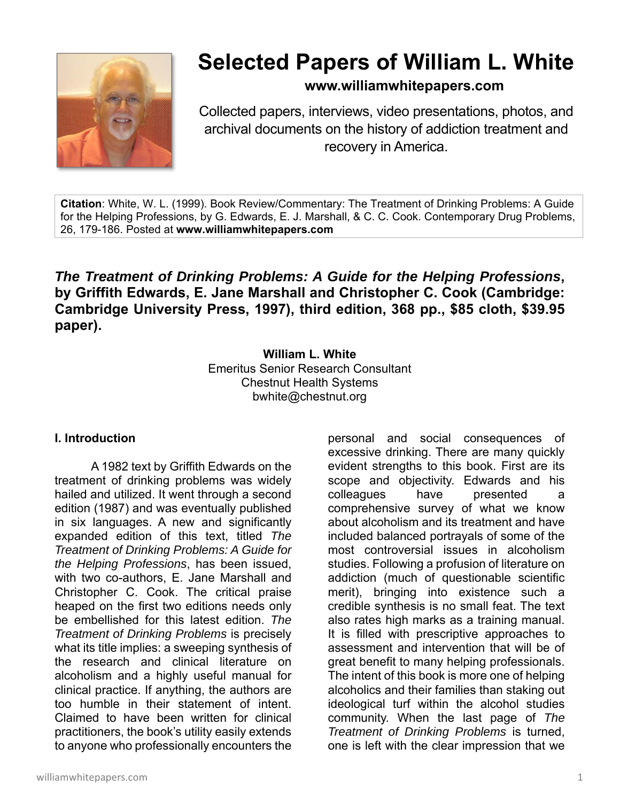

# **Selected Papers of William L. White**

**www.williamwhitepapers.com**

Collected papers, interviews, video presentations, photos, and archival documents on the history of addiction treatment and recovery in America.

**Citation**: White, W. L. (1999). Book Review/Commentary: The Treatment of Drinking Problems: A Guide for the Helping Professions, by G. Edwards, E. J. Marshall, & C. C. Cook. Contemporary Drug Problems, 26, 179-186. Posted at **www.williamwhitepapers.com** 

*The Treatment of Drinking Problems: A Guide for the Helping Professions***, by Griffith Edwards, E. Jane Marshall and Christopher C. Cook (Cambridge: Cambridge University Press, 1997), third edition, 368 pp., \$85 cloth, \$39.95 paper).** 

> **William L. White**  Emeritus Senior Research Consultant Chestnut Health Systems bwhite@chestnut.org

## **I. Introduction**

 A 1982 text by Griffith Edwards on the treatment of drinking problems was widely hailed and utilized. It went through a second edition (1987) and was eventually published in six languages. A new and significantly expanded edition of this text, titled *The Treatment of Drinking Problems: A Guide for the Helping Professions*, has been issued, with two co-authors, E. Jane Marshall and Christopher C. Cook. The critical praise heaped on the first two editions needs only be embellished for this latest edition. *The Treatment of Drinking Problems* is precisely what its title implies: a sweeping synthesis of the research and clinical literature on alcoholism and a highly useful manual for clinical practice. If anything, the authors are too humble in their statement of intent. Claimed to have been written for clinical practitioners, the book's utility easily extends to anyone who professionally encounters the

personal and social consequences of excessive drinking. There are many quickly evident strengths to this book. First are its scope and objectivity. Edwards and his colleagues have presented a comprehensive survey of what we know about alcoholism and its treatment and have included balanced portrayals of some of the most controversial issues in alcoholism studies. Following a profusion of literature on addiction (much of questionable scientific merit), bringing into existence such a credible synthesis is no small feat. The text also rates high marks as a training manual. It is filled with prescriptive approaches to assessment and intervention that will be of great benefit to many helping professionals. The intent of this book is more one of helping alcoholics and their families than staking out ideological turf within the alcohol studies community. When the last page of *The Treatment of Drinking Problems* is turned, one is left with the clear impression that we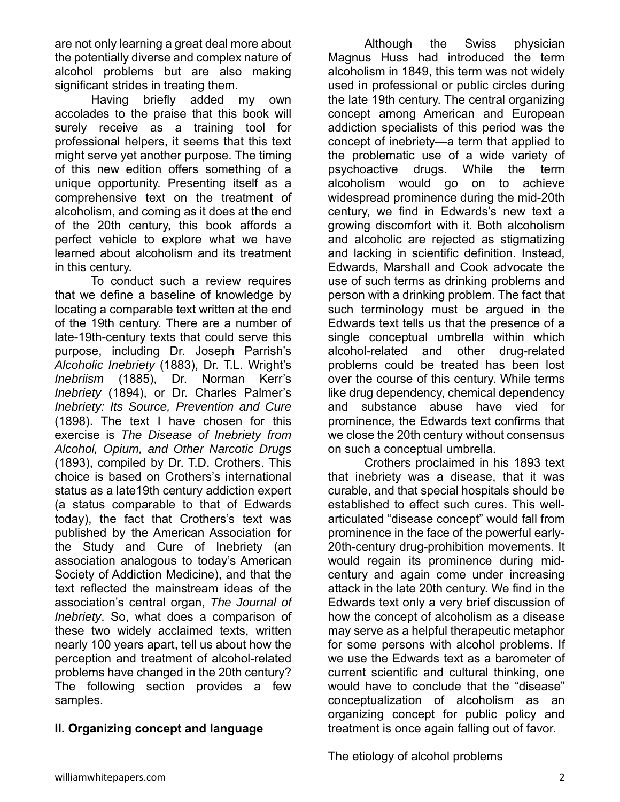are not only learning a great deal more about the potentially diverse and complex nature of alcohol problems but are also making significant strides in treating them.

 Having briefly added my own accolades to the praise that this book will surely receive as a training tool for professional helpers, it seems that this text might serve yet another purpose. The timing of this new edition offers something of a unique opportunity. Presenting itself as a comprehensive text on the treatment of alcoholism, and coming as it does at the end of the 20th century, this book affords a perfect vehicle to explore what we have learned about alcoholism and its treatment in this century.

 To conduct such a review requires that we define a baseline of knowledge by locating a comparable text written at the end of the 19th century. There are a number of late-19th-century texts that could serve this purpose, including Dr. Joseph Parrish's *Alcoholic Inebriety* (1883), Dr. T.L. Wright's *Inebriism* (1885), Dr. Norman Kerr's *Inebriety* (1894), or Dr. Charles Palmer's *Inebriety: Its Source, Prevention and Cure* (1898). The text I have chosen for this exercise is *The Disease of Inebriety from Alcohol, Opium, and Other Narcotic Drugs* (1893), compiled by Dr. T.D. Crothers. This choice is based on Crothers's international status as a late19th century addiction expert (a status comparable to that of Edwards today), the fact that Crothers's text was published by the American Association for the Study and Cure of Inebriety (an association analogous to today's American Society of Addiction Medicine), and that the text reflected the mainstream ideas of the association's central organ, *The Journal of Inebriety*. So, what does a comparison of these two widely acclaimed texts, written nearly 100 years apart, tell us about how the perception and treatment of alcohol-related problems have changed in the 20th century? The following section provides a few samples.

## **II. Organizing concept and language**

 Although the Swiss physician Magnus Huss had introduced the term alcoholism in 1849, this term was not widely used in professional or public circles during the late 19th century. The central organizing concept among American and European addiction specialists of this period was the concept of inebriety—a term that applied to the problematic use of a wide variety of psychoactive drugs. While the term alcoholism would go on to achieve widespread prominence during the mid-20th century, we find in Edwards's new text a growing discomfort with it. Both alcoholism and alcoholic are rejected as stigmatizing and lacking in scientific definition. Instead, Edwards, Marshall and Cook advocate the use of such terms as drinking problems and person with a drinking problem. The fact that such terminology must be argued in the Edwards text tells us that the presence of a single conceptual umbrella within which alcohol-related and other drug-related problems could be treated has been lost over the course of this century. While terms like drug dependency, chemical dependency and substance abuse have vied for prominence, the Edwards text confirms that we close the 20th century without consensus on such a conceptual umbrella.

 Crothers proclaimed in his 1893 text that inebriety was a disease, that it was curable, and that special hospitals should be established to effect such cures. This wellarticulated "disease concept" would fall from prominence in the face of the powerful early-20th-century drug-prohibition movements. It would regain its prominence during midcentury and again come under increasing attack in the late 20th century. We find in the Edwards text only a very brief discussion of how the concept of alcoholism as a disease may serve as a helpful therapeutic metaphor for some persons with alcohol problems. If we use the Edwards text as a barometer of current scientific and cultural thinking, one would have to conclude that the "disease" conceptualization of alcoholism as an organizing concept for public policy and treatment is once again falling out of favor.

The etiology of alcohol problems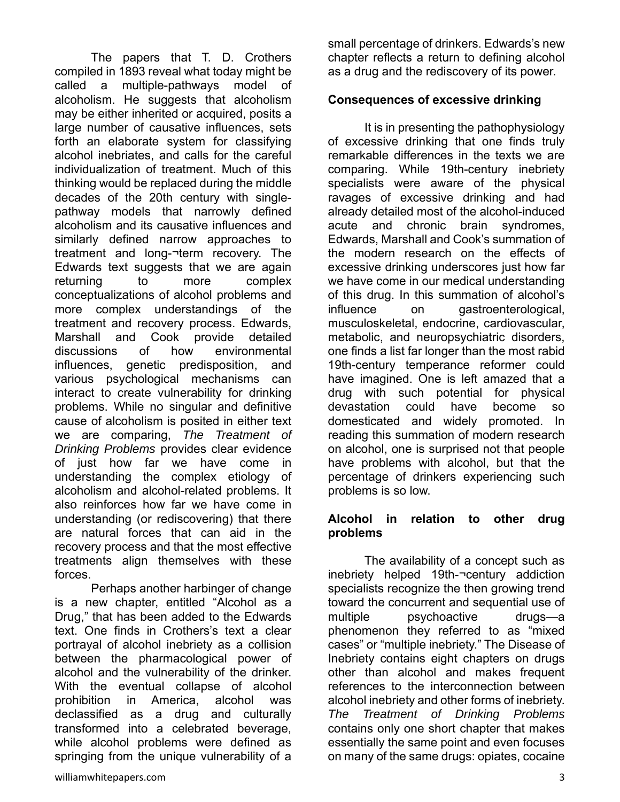The papers that T. D. Crothers compiled in 1893 reveal what today might be called a multiple-pathways model of alcoholism. He suggests that alcoholism may be either inherited or acquired, posits a large number of causative influences, sets forth an elaborate system for classifying alcohol inebriates, and calls for the careful individualization of treatment. Much of this thinking would be replaced during the middle decades of the 20th century with singlepathway models that narrowly defined alcoholism and its causative influences and similarly defined narrow approaches to treatment and long-¬term recovery. The Edwards text suggests that we are again returning to more complex conceptualizations of alcohol problems and more complex understandings of the treatment and recovery process. Edwards, Marshall and Cook provide detailed discussions of how environmental influences, genetic predisposition, and various psychological mechanisms can interact to create vulnerability for drinking problems. While no singular and definitive cause of alcoholism is posited in either text we are comparing, *The Treatment of Drinking Problems* provides clear evidence of just how far we have come in understanding the complex etiology of alcoholism and alcohol-related problems. It also reinforces how far we have come in understanding (or rediscovering) that there are natural forces that can aid in the recovery process and that the most effective treatments align themselves with these forces.

 Perhaps another harbinger of change is a new chapter, entitled "Alcohol as a Drug," that has been added to the Edwards text. One finds in Crothers's text a clear portrayal of alcohol inebriety as a collision between the pharmacological power of alcohol and the vulnerability of the drinker. With the eventual collapse of alcohol prohibition in America, alcohol was declassified as a drug and culturally transformed into a celebrated beverage, while alcohol problems were defined as springing from the unique vulnerability of a

small percentage of drinkers. Edwards's new chapter reflects a return to defining alcohol as a drug and the rediscovery of its power.

#### **Consequences of excessive drinking**

 It is in presenting the pathophysiology of excessive drinking that one finds truly remarkable differences in the texts we are comparing. While 19th-century inebriety specialists were aware of the physical ravages of excessive drinking and had already detailed most of the alcohol-induced acute and chronic brain syndromes, Edwards, Marshall and Cook's summation of the modern research on the effects of excessive drinking underscores just how far we have come in our medical understanding of this drug. In this summation of alcohol's influence on gastroenterological, musculoskeletal, endocrine, cardiovascular, metabolic, and neuropsychiatric disorders, one finds a list far longer than the most rabid 19th-century temperance reformer could have imagined. One is left amazed that a drug with such potential for physical devastation could have become so domesticated and widely promoted. In reading this summation of modern research on alcohol, one is surprised not that people have problems with alcohol, but that the percentage of drinkers experiencing such problems is so low.

#### **Alcohol in relation to other drug problems**

 The availability of a concept such as inebriety helped 19th-¬century addiction specialists recognize the then growing trend toward the concurrent and sequential use of multiple psychoactive drugs—a phenomenon they referred to as "mixed cases" or "multiple inebriety." The Disease of Inebriety contains eight chapters on drugs other than alcohol and makes frequent references to the interconnection between alcohol inebriety and other forms of inebriety. *The Treatment of Drinking Problems* contains only one short chapter that makes essentially the same point and even focuses on many of the same drugs: opiates, cocaine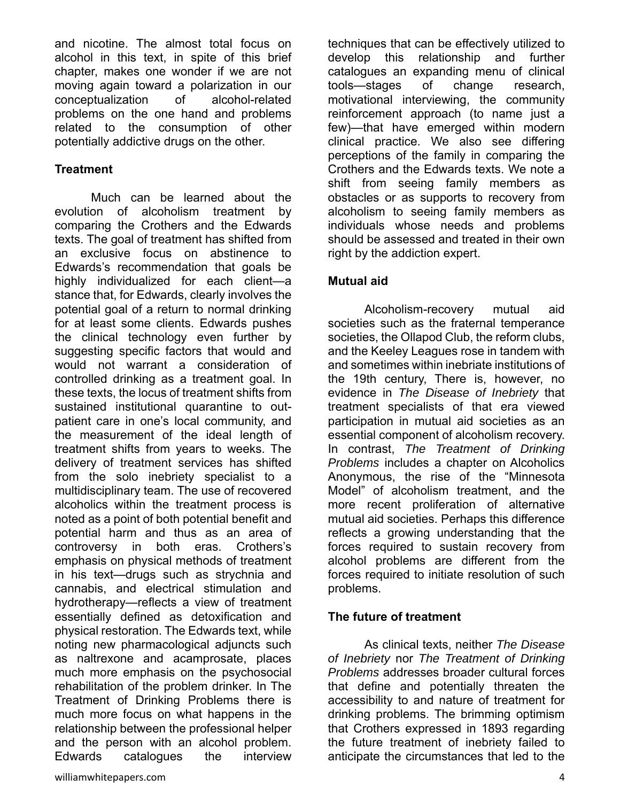and nicotine. The almost total focus on alcohol in this text, in spite of this brief chapter, makes one wonder if we are not moving again toward a polarization in our conceptualization of alcohol-related problems on the one hand and problems related to the consumption of other potentially addictive drugs on the other.

## **Treatment**

 Much can be learned about the evolution of alcoholism treatment by comparing the Crothers and the Edwards texts. The goal of treatment has shifted from an exclusive focus on abstinence to Edwards's recommendation that goals be highly individualized for each client—a stance that, for Edwards, clearly involves the potential goal of a return to normal drinking for at least some clients. Edwards pushes the clinical technology even further by suggesting specific factors that would and would not warrant a consideration of controlled drinking as a treatment goal. In these texts, the locus of treatment shifts from sustained institutional quarantine to outpatient care in one's local community, and the measurement of the ideal length of treatment shifts from years to weeks. The delivery of treatment services has shifted from the solo inebriety specialist to a multidisciplinary team. The use of recovered alcoholics within the treatment process is noted as a point of both potential benefit and potential harm and thus as an area of controversy in both eras. Crothers's emphasis on physical methods of treatment in his text—drugs such as strychnia and cannabis, and electrical stimulation and hydrotherapy—reflects a view of treatment essentially defined as detoxification and physical restoration. The Edwards text, while noting new pharmacological adjuncts such as naltrexone and acamprosate, places much more emphasis on the psychosocial rehabilitation of the problem drinker. In The Treatment of Drinking Problems there is much more focus on what happens in the relationship between the professional helper and the person with an alcohol problem. Edwards catalogues the interview

techniques that can be effectively utilized to develop this relationship and further catalogues an expanding menu of clinical tools—stages of change research, motivational interviewing, the community reinforcement approach (to name just a few)—that have emerged within modern clinical practice. We also see differing perceptions of the family in comparing the Crothers and the Edwards texts. We note a shift from seeing family members as obstacles or as supports to recovery from alcoholism to seeing family members as individuals whose needs and problems should be assessed and treated in their own right by the addiction expert.

### **Mutual aid**

 Alcoholism-recovery mutual aid societies such as the fraternal temperance societies, the Ollapod Club, the reform clubs, and the Keeley Leagues rose in tandem with and sometimes within inebriate institutions of the 19th century, There is, however, no evidence in *The Disease of Inebriety* that treatment specialists of that era viewed participation in mutual aid societies as an essential component of alcoholism recovery. In contrast, *The Treatment of Drinking Problems* includes a chapter on Alcoholics Anonymous, the rise of the "Minnesota Model" of alcoholism treatment, and the more recent proliferation of alternative mutual aid societies. Perhaps this difference reflects a growing understanding that the forces required to sustain recovery from alcohol problems are different from the forces required to initiate resolution of such problems.

#### **The future of treatment**

 As clinical texts, neither *The Disease of Inebriety* nor *The Treatment of Drinking Problems* addresses broader cultural forces that define and potentially threaten the accessibility to and nature of treatment for drinking problems. The brimming optimism that Crothers expressed in 1893 regarding the future treatment of inebriety failed to anticipate the circumstances that led to the